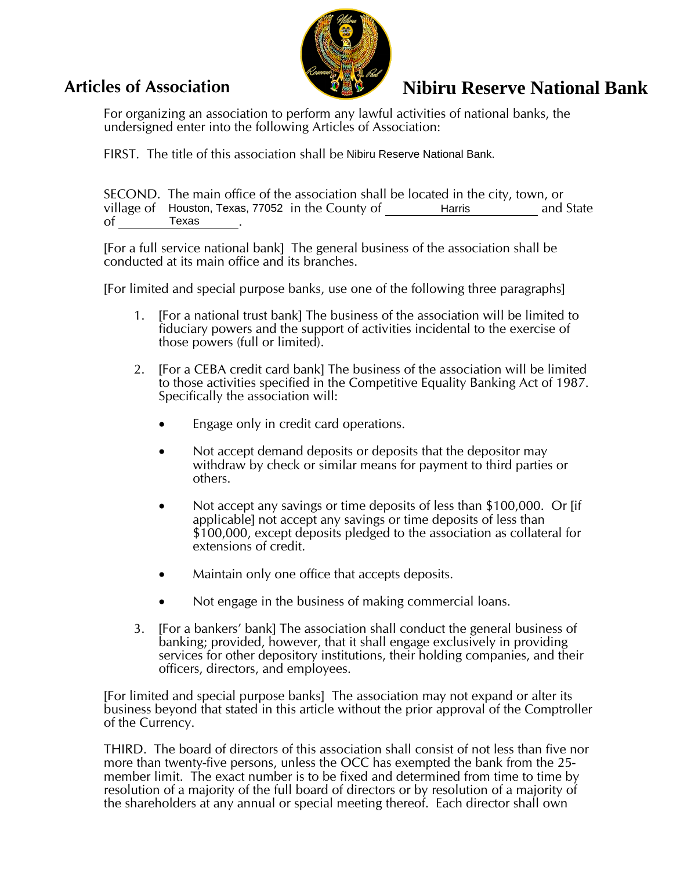

## **Articles of Association**

## **Nibiru Reserve National Bank**

For organizing an association to perform any lawful activities of national banks, the undersigned enter into the following Articles of Association:

FIRST. The title of this association shall be Nibiru Reserve National Bank.

SECOND. The main office of the association shall be located in the city, town, or village of Houston, Texas, 77052 in the County of **Example Harris** and State and State of . Texas

[For a full service national bank] The general business of the association shall be conducted at its main office and its branches.

[For limited and special purpose banks, use one of the following three paragraphs]

- 1. [For a national trust bank] The business of the association will be limited to fiduciary powers and the support of activities incidental to the exercise of those powers (full or limited).
- 2. [For a CEBA credit card bank] The business of the association will be limited to those activities specified in the Competitive Equality Banking Act of 1987. Specifically the association will:
	- Engage only in credit card operations.
	- Not accept demand deposits or deposits that the depositor may withdraw by check or similar means for payment to third parties or others.
	- Not accept any savings or time deposits of less than \$100,000. Or [if applicable] not accept any savings or time deposits of less than \$100,000, except deposits pledged to the association as collateral for extensions of credit.
	- Maintain only one office that accepts deposits.
	- Not engage in the business of making commercial loans.
- 3. [For a bankers' bank] The association shall conduct the general business of banking; provided, however, that it shall engage exclusively in providing services for other depository institutions, their holding companies, and their officers, directors, and employees.

[For limited and special purpose banks] The association may not expand or alter its business beyond that stated in this article without the prior approval of the Comptroller of the Currency.

THIRD. The board of directors of this association shall consist of not less than five nor more than twenty-five persons, unless the OCC has exempted the bank from the 25 member limit. The exact number is to be fixed and determined from time to time by resolution of a majority of the full board of directors or by resolution of a majority of the shareholders at any annual or special meeting thereof. Each director shall own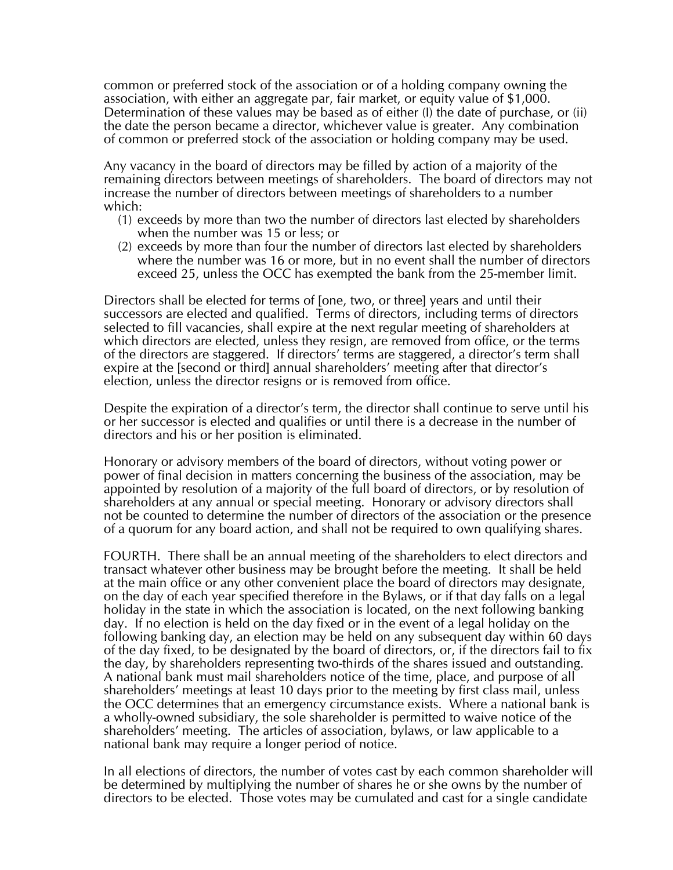common or preferred stock of the association or of a holding company owning the association, with either an aggregate par, fair market, or equity value of \$1,000. Determination of these values may be based as of either (I) the date of purchase, or (ii) the date the person became a director, whichever value is greater. Any combination of common or preferred stock of the association or holding company may be used.

Any vacancy in the board of directors may be filled by action of a majority of the remaining directors between meetings of shareholders. The board of directors may not increase the number of directors between meetings of shareholders to a number which:

- (1) exceeds by more than two the number of directors last elected by shareholders when the number was 15 or less; or
- (2) exceeds by more than four the number of directors last elected by shareholders where the number was 16 or more, but in no event shall the number of directors exceed 25, unless the OCC has exempted the bank from the 25-member limit.

Directors shall be elected for terms of [one, two, or three] years and until their successors are elected and qualified. Terms of directors, including terms of directors selected to fill vacancies, shall expire at the next regular meeting of shareholders at which directors are elected, unless they resign, are removed from office, or the terms of the directors are staggered. If directors' terms are staggered, a director's term shall expire at the [second or third] annual shareholders' meeting after that director's election, unless the director resigns or is removed from office.

Despite the expiration of a director's term, the director shall continue to serve until his or her successor is elected and qualifies or until there is a decrease in the number of directors and his or her position is eliminated.

Honorary or advisory members of the board of directors, without voting power or power of final decision in matters concerning the business of the association, may be appointed by resolution of a majority of the full board of directors, or by resolution of shareholders at any annual or special meeting. Honorary or advisory directors shall not be counted to determine the number of directors of the association or the presence of a quorum for any board action, and shall not be required to own qualifying shares.

FOURTH. There shall be an annual meeting of the shareholders to elect directors and transact whatever other business may be brought before the meeting. It shall be held at the main office or any other convenient place the board of directors may designate, on the day of each year specified therefore in the Bylaws, or if that day falls on a legal holiday in the state in which the association is located, on the next following banking day. If no election is held on the day fixed or in the event of a legal holiday on the following banking day, an election may be held on any subsequent day within 60 days of the day fixed, to be designated by the board of directors, or, if the directors fail to fix the day, by shareholders representing two-thirds of the shares issued and outstanding. A national bank must mail shareholders notice of the time, place, and purpose of all shareholders' meetings at least 10 days prior to the meeting by first class mail, unless the OCC determines that an emergency circumstance exists. Where a national bank is a wholly-owned subsidiary, the sole shareholder is permitted to waive notice of the shareholders' meeting. The articles of association, bylaws, or law applicable to a national bank may require a longer period of notice.

In all elections of directors, the number of votes cast by each common shareholder will be determined by multiplying the number of shares he or she owns by the number of directors to be elected. Those votes may be cumulated and cast for a single candidate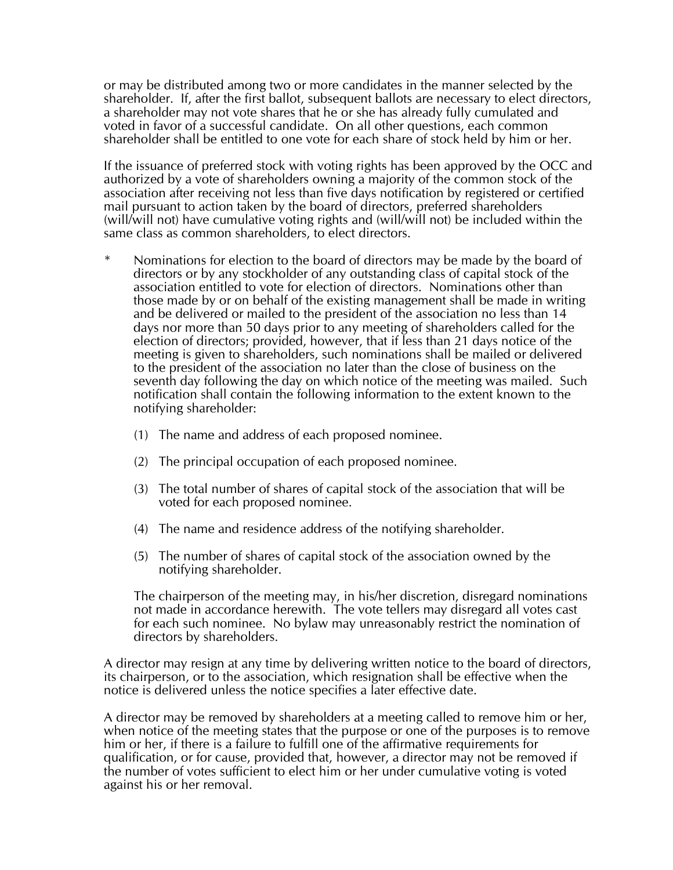or may be distributed among two or more candidates in the manner selected by the shareholder. If, after the first ballot, subsequent ballots are necessary to elect directors, a shareholder may not vote shares that he or she has already fully cumulated and voted in favor of a successful candidate. On all other questions, each common shareholder shall be entitled to one vote for each share of stock held by him or her.

If the issuance of preferred stock with voting rights has been approved by the OCC and authorized by a vote of shareholders owning a majority of the common stock of the association after receiving not less than five days notification by registered or certified mail pursuant to action taken by the board of directors, preferred shareholders (will/will not) have cumulative voting rights and (will/will not) be included within the same class as common shareholders, to elect directors.

- Nominations for election to the board of directors may be made by the board of directors or by any stockholder of any outstanding class of capital stock of the association entitled to vote for election of directors. Nominations other than those made by or on behalf of the existing management shall be made in writing and be delivered or mailed to the president of the association no less than 14 days nor more than 50 days prior to any meeting of shareholders called for the election of directors; provided, however, that if less than 21 days notice of the meeting is given to shareholders, such nominations shall be mailed or delivered to the president of the association no later than the close of business on the seventh day following the day on which notice of the meeting was mailed. Such notification shall contain the following information to the extent known to the notifying shareholder:
	- (1) The name and address of each proposed nominee.
	- (2) The principal occupation of each proposed nominee.
	- (3) The total number of shares of capital stock of the association that will be voted for each proposed nominee.
	- (4) The name and residence address of the notifying shareholder.
	- (5) The number of shares of capital stock of the association owned by the notifying shareholder.

The chairperson of the meeting may, in his/her discretion, disregard nominations not made in accordance herewith. The vote tellers may disregard all votes cast for each such nominee. No bylaw may unreasonably restrict the nomination of directors by shareholders.

A director may resign at any time by delivering written notice to the board of directors, its chairperson, or to the association, which resignation shall be effective when the notice is delivered unless the notice specifies a later effective date.

A director may be removed by shareholders at a meeting called to remove him or her, when notice of the meeting states that the purpose or one of the purposes is to remove him or her, if there is a failure to fulfill one of the affirmative requirements for qualification, or for cause, provided that, however, a director may not be removed if the number of votes sufficient to elect him or her under cumulative voting is voted against his or her removal.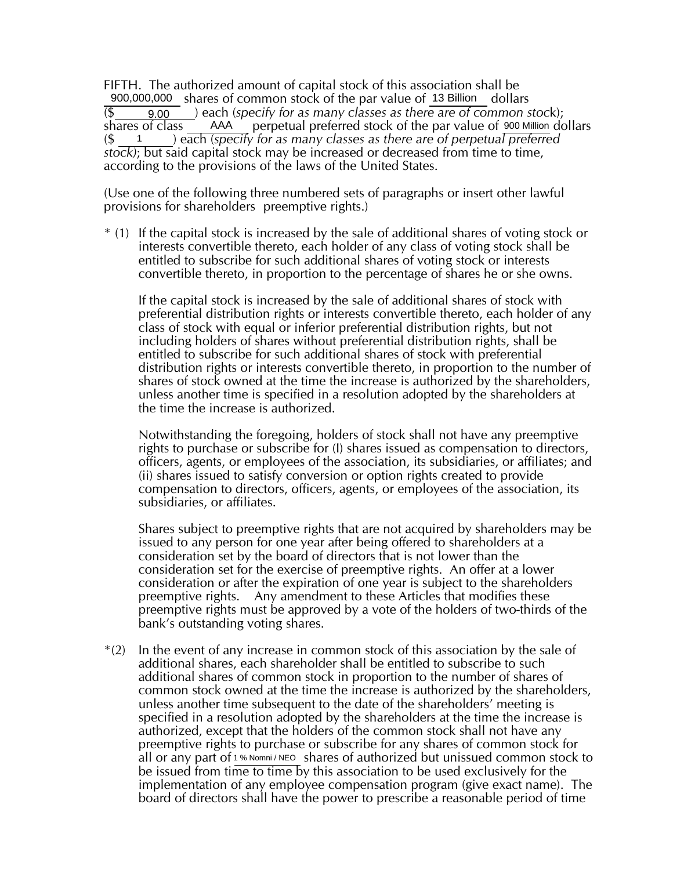FIFTH. The authorized amount of capital stock of this association shall be 900,000,000 shares of common stock of the par value of 13 Billion dollars (\$ ) each (*specify for as many classes as there are of common stoc*k); 9.00 shares of class AAA perpetual preferred stock of the par value of 900 Million dollars (\$ ) each (*specify for as many classes as there are of perpetual preferred stock)*; but said capital stock may be increased or decreased from time to time, according to the provisions of the laws of the United States. AAA perpetual preferred stock of the par value of 900 Million 1

(Use one of the following three numbered sets of paragraphs or insert other lawful provisions for shareholders preemptive rights.)

\* (1) If the capital stock is increased by the sale of additional shares of voting stock or interests convertible thereto, each holder of any class of voting stock shall be entitled to subscribe for such additional shares of voting stock or interests convertible thereto, in proportion to the percentage of shares he or she owns.

If the capital stock is increased by the sale of additional shares of stock with preferential distribution rights or interests convertible thereto, each holder of any class of stock with equal or inferior preferential distribution rights, but not including holders of shares without preferential distribution rights, shall be entitled to subscribe for such additional shares of stock with preferential distribution rights or interests convertible thereto, in proportion to the number of shares of stock owned at the time the increase is authorized by the shareholders, unless another time is specified in a resolution adopted by the shareholders at the time the increase is authorized.

Notwithstanding the foregoing, holders of stock shall not have any preemptive rights to purchase or subscribe for (I) shares issued as compensation to directors, officers, agents, or employees of the association, its subsidiaries, or affiliates; and (ii) shares issued to satisfy conversion or option rights created to provide compensation to directors, officers, agents, or employees of the association, its subsidiaries, or affiliates.

Shares subject to preemptive rights that are not acquired by shareholders may be issued to any person for one year after being offered to shareholders at a consideration set by the board of directors that is not lower than the consideration set for the exercise of preemptive rights. An offer at a lower consideration or after the expiration of one year is subject to the shareholders preemptive rights. Any amendment to these Articles that modifies these preemptive rights must be approved by a vote of the holders of two-thirds of the bank's outstanding voting shares.

\*(2) In the event of any increase in common stock of this association by the sale of additional shares, each shareholder shall be entitled to subscribe to such additional shares of common stock in proportion to the number of shares of common stock owned at the time the increase is authorized by the shareholders, unless another time subsequent to the date of the shareholders' meeting is specified in a resolution adopted by the shareholders at the time the increase is authorized, except that the holders of the common stock shall not have any preemptive rights to purchase or subscribe for any shares of common stock for all or any part of 1 % Nomni/NEO shares of authorized but unissued common stock to be issued from time to time by this association to be used exclusively for the implementation of any employee compensation program (give exact name). The board of directors shall have the power to prescribe a reasonable period of time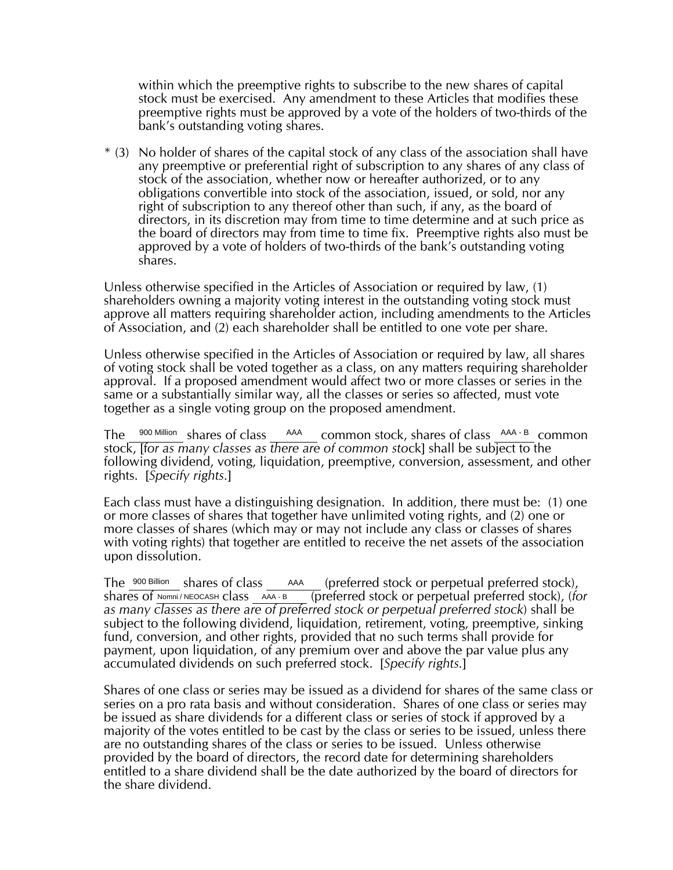within which the preemptive rights to subscribe to the new shares of capital stock must be exercised. Any amendment to these Articles that modifies these preemptive rights must be approved by a vote of the holders of two-thirds of the bank's outstanding voting shares.

\* (3) No holder of shares of the capital stock of any class of the association shall have any preemptive or preferential right of subscription to any shares of any class of stock of the association, whether now or hereafter authorized, or to any obligations convertible into stock of the association, issued, or sold, nor any right of subscription to any thereof other than such, if any, as the board of directors, in its discretion may from time to time determine and at such price as the board of directors may from time to time fix. Preemptive rights also must be approved by a vote of holders of two-thirds of the bank's outstanding voting shares.

Unless otherwise specified in the Articles of Association or required by law, (1) shareholders owning a majority voting interest in the outstanding voting stock must approve all matters requiring shareholder action, including amendments to the Articles of Association, and (2) each shareholder shall be entitled to one vote per share.

Unless otherwise specified in the Articles of Association or required by law, all shares of voting stock shall be voted together as a class, on any matters requiring shareholder approval. If a proposed amendment would affect two or more classes or series in the same or a substantially similar way, all the classes or series so affected, must vote together as a single voting group on the proposed amendment.

The <sup>900 Million</sup> shares of class AAA common stock, shares of class AAA-B common stock, [f*or as many classes as there are of common sto*ck] shall be subject to the following dividend, voting, liquidation, preemptive, conversion, assessment, and other rights. [*Specify rights.*]

Each class must have a distinguishing designation. In addition, there must be: (1) one or more classes of shares that together have unlimited voting rights, and (2) one or more classes of shares (which may or may not include any class or classes of shares with voting rights) that together are entitled to receive the net assets of the association upon dissolution.

(preferred stock or perpetual preferred stock), shares of Nomni/NEOCASH class AAA-B (preferred stock or perpetual preferred stock), (*for as many classes as there are of preferred stock or perpetual preferred stock*) shall be subject to the following dividend, liquidation, retirement, voting, preemptive, sinking fund, conversion, and other rights, provided that no such terms shall provide for payment, upon liquidation, of any premium over and above the par value plus any accumulated dividends on such preferred stock. [*Specify rights.*] 900 Billion Shares of class AAA Nomni / NEOCASH CIASS AAA - B

Shares of one class or series may be issued as a dividend for shares of the same class or series on a pro rata basis and without consideration. Shares of one class or series may be issued as share dividends for a different class or series of stock if approved by a majority of the votes entitled to be cast by the class or series to be issued, unless there are no outstanding shares of the class or series to be issued. Unless otherwise provided by the board of directors, the record date for determining shareholders entitled to a share dividend shall be the date authorized by the board of directors for the share dividend.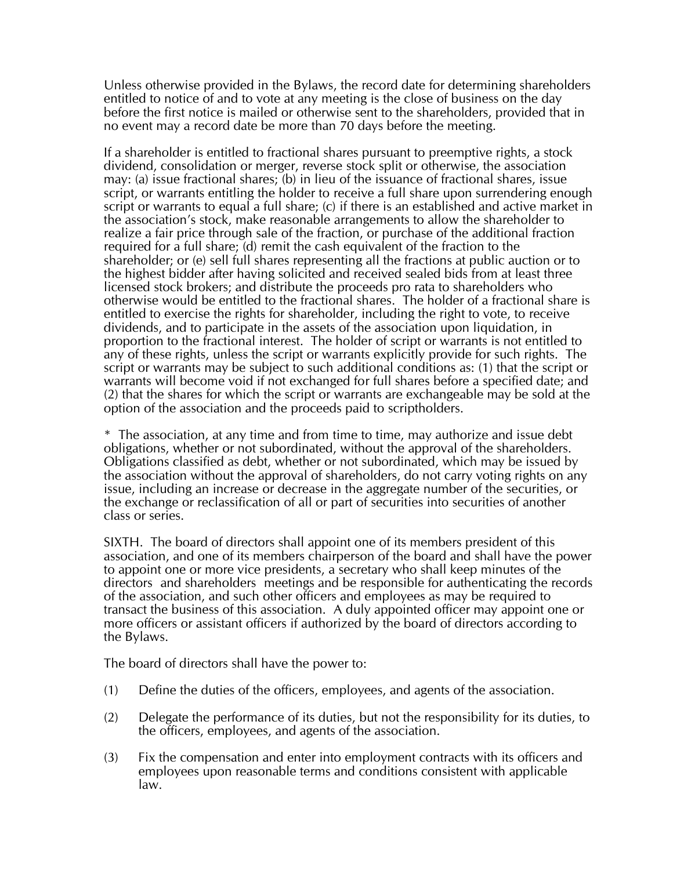Unless otherwise provided in the Bylaws, the record date for determining shareholders entitled to notice of and to vote at any meeting is the close of business on the day before the first notice is mailed or otherwise sent to the shareholders, provided that in no event may a record date be more than 70 days before the meeting.

If a shareholder is entitled to fractional shares pursuant to preemptive rights, a stock dividend, consolidation or merger, reverse stock split or otherwise, the association may: (a) issue fractional shares; (b) in lieu of the issuance of fractional shares, issue script, or warrants entitling the holder to receive a full share upon surrendering enough script or warrants to equal a full share; (c) if there is an established and active market in the association's stock, make reasonable arrangements to allow the shareholder to realize a fair price through sale of the fraction, or purchase of the additional fraction required for a full share; (d) remit the cash equivalent of the fraction to the shareholder; or (e) sell full shares representing all the fractions at public auction or to the highest bidder after having solicited and received sealed bids from at least three licensed stock brokers; and distribute the proceeds pro rata to shareholders who otherwise would be entitled to the fractional shares. The holder of a fractional share is entitled to exercise the rights for shareholder, including the right to vote, to receive dividends, and to participate in the assets of the association upon liquidation, in proportion to the fractional interest. The holder of script or warrants is not entitled to any of these rights, unless the script or warrants explicitly provide for such rights. The script or warrants may be subject to such additional conditions as: (1) that the script or warrants will become void if not exchanged for full shares before a specified date; and (2) that the shares for which the script or warrants are exchangeable may be sold at the option of the association and the proceeds paid to scriptholders.

\* The association, at any time and from time to time, may authorize and issue debt obligations, whether or not subordinated, without the approval of the shareholders. Obligations classified as debt, whether or not subordinated, which may be issued by the association without the approval of shareholders, do not carry voting rights on any issue, including an increase or decrease in the aggregate number of the securities, or the exchange or reclassification of all or part of securities into securities of another class or series.

SIXTH. The board of directors shall appoint one of its members president of this association, and one of its members chairperson of the board and shall have the power to appoint one or more vice presidents, a secretary who shall keep minutes of the directors and shareholders meetings and be responsible for authenticating the records of the association, and such other officers and employees as may be required to transact the business of this association. A duly appointed officer may appoint one or more officers or assistant officers if authorized by the board of directors according to the Bylaws.

The board of directors shall have the power to:

- (1) Define the duties of the officers, employees, and agents of the association.
- (2) Delegate the performance of its duties, but not the responsibility for its duties, to the officers, employees, and agents of the association.
- (3) Fix the compensation and enter into employment contracts with its officers and employees upon reasonable terms and conditions consistent with applicable law.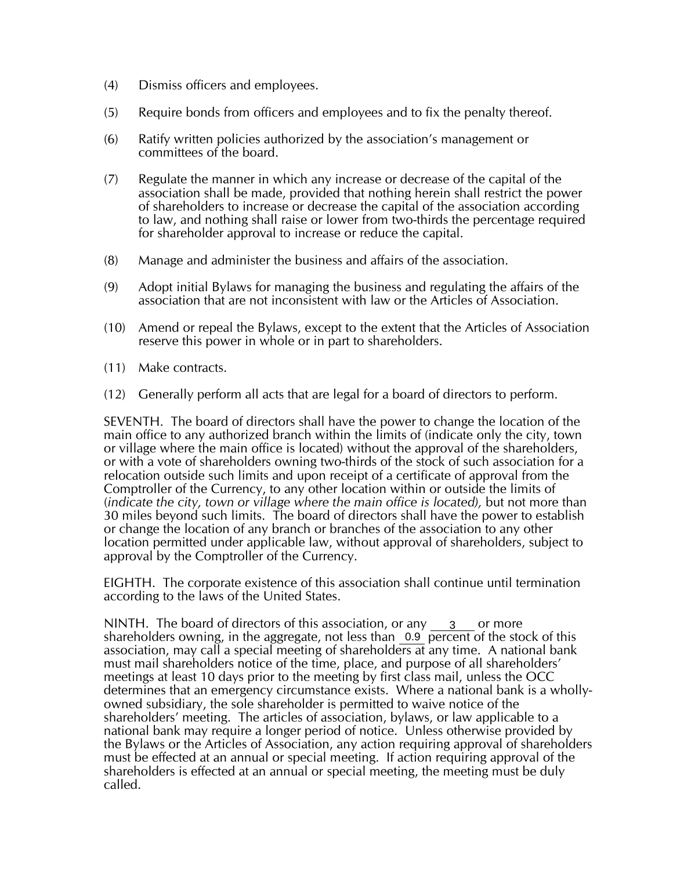- (4) Dismiss officers and employees.
- (5) Require bonds from officers and employees and to fix the penalty thereof.
- (6) Ratify written policies authorized by the association's management or committees of the board.
- (7) Regulate the manner in which any increase or decrease of the capital of the association shall be made, provided that nothing herein shall restrict the power of shareholders to increase or decrease the capital of the association according to law, and nothing shall raise or lower from two-thirds the percentage required for shareholder approval to increase or reduce the capital.
- (8) Manage and administer the business and affairs of the association.
- (9) Adopt initial Bylaws for managing the business and regulating the affairs of the association that are not inconsistent with law or the Articles of Association.
- (10) Amend or repeal the Bylaws, except to the extent that the Articles of Association reserve this power in whole or in part to shareholders.
- (11) Make contracts.
- (12) Generally perform all acts that are legal for a board of directors to perform.

SEVENTH. The board of directors shall have the power to change the location of the main office to any authorized branch within the limits of (indicate only the city, town or village where the main office is located) without the approval of the shareholders, or with a vote of shareholders owning two-thirds of the stock of such association for a relocation outside such limits and upon receipt of a certificate of approval from the Comptroller of the Currency, to any other location within or outside the limits of (*indicate the city, town or village where the main office is located),* but not more than 30 miles beyond such limits. The board of directors shall have the power to establish or change the location of any branch or branches of the association to any other location permitted under applicable law, without approval of shareholders, subject to approval by the Comptroller of the Currency.

EIGHTH. The corporate existence of this association shall continue until termination according to the laws of the United States.

NINTH. The board of directors of this association, or any  $\frac{3}{2}$  or more shareholders owning, in the aggregate, not less than  $\overline{0.9}$  percent of the stock of this association, may call a special meeting of shareholders at any time. A national bank must mail shareholders notice of the time, place, and purpose of all shareholders' meetings at least 10 days prior to the meeting by first class mail, unless the OCC determines that an emergency circumstance exists. Where a national bank is a whollyowned subsidiary, the sole shareholder is permitted to waive notice of the shareholders' meeting. The articles of association, bylaws, or law applicable to a national bank may require a longer period of notice. Unless otherwise provided by the Bylaws or the Articles of Association, any action requiring approval of shareholders must be effected at an annual or special meeting. If action requiring approval of the shareholders is effected at an annual or special meeting, the meeting must be duly called.